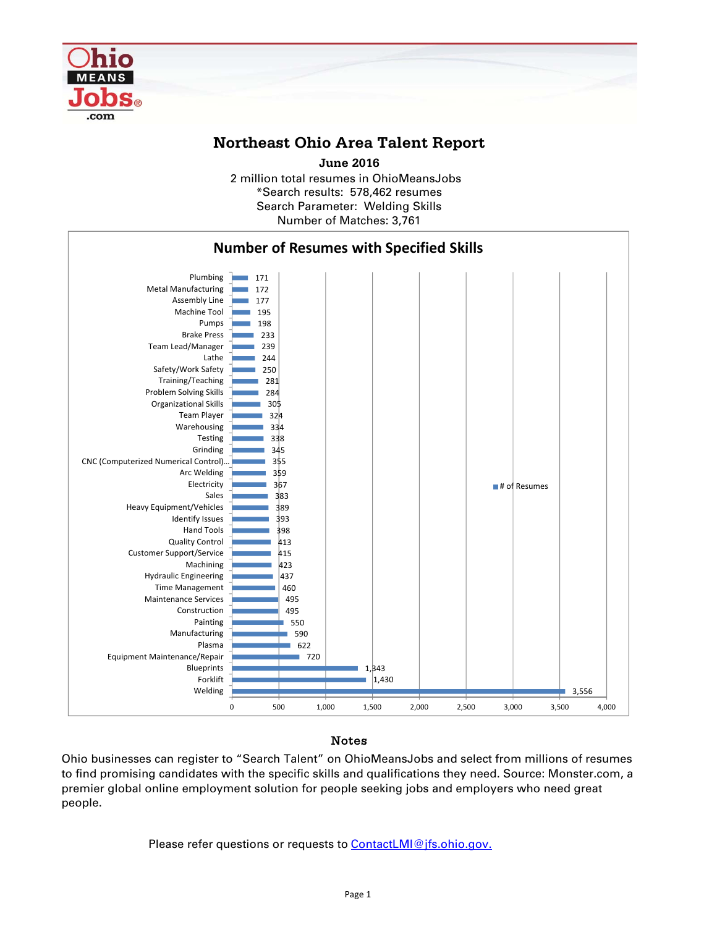

## **Northeast Ohio Area Talent Report**

**June 2016**

2 million total resumes in OhioMeansJobs \*Search results: 578,462 resumes Number of Matches: 3,761 Search Parameter: Welding Skills



## Notes

Ohio businesses can register to "Search Talent" on OhioMeansJobs and select from millions of resumes to find promising candidates with the specific skills and qualifications they need. Source: Monster.com, a premier global online employment solution for people seeking jobs and employers who need great people.

Please refer questions or requests to **ContactLMI@jfs.ohio.gov.**